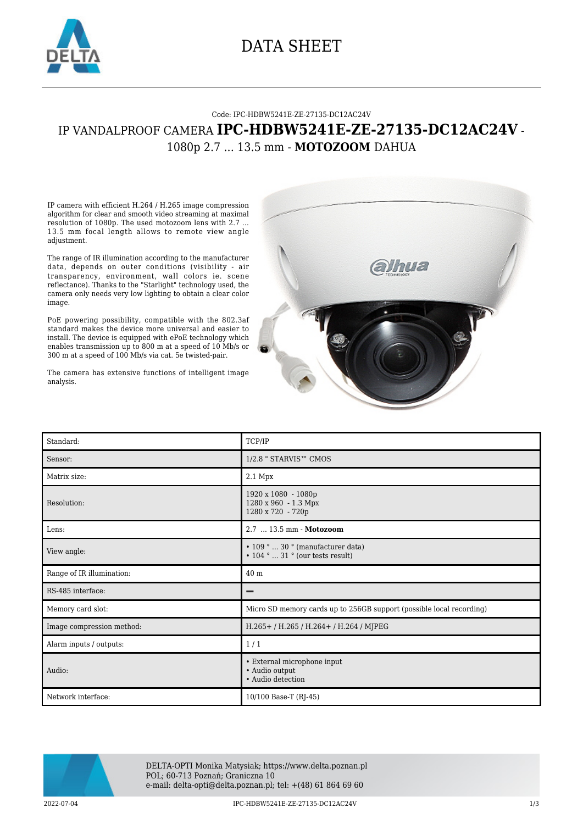

## DATA SHEET

## Code: IPC-HDBW5241E-ZE-27135-DC12AC24V IP VANDALPROOF CAMERA **IPC-HDBW5241E-ZE-27135-DC12AC24V** - 1080p 2.7 ... 13.5 mm - **MOTOZOOM** DAHUA

IP camera with efficient H.264 / H.265 image compression algorithm for clear and smooth video streaming at maximal resolution of 1080p. The used motozoom lens with 2.7 ... 13.5 mm focal length allows to remote view angle adjustment.

The range of IR illumination according to the manufacturer data, depends on outer conditions (visibility - air transparency, environment, wall colors ie. scene reflectance). Thanks to the "Starlight" technology used, the camera only needs very low lighting to obtain a clear color image.

PoE powering possibility, compatible with the 802.3af standard makes the device more universal and easier to install. The device is equipped with ePoE technology which enables transmission up to 800 m at a speed of 10 Mb/s or 300 m at a speed of 100 Mb/s via cat. 5e twisted-pair.

The camera has extensive functions of intelligent image analysis.



| Standard:                 | TCP/IP                                                                            |
|---------------------------|-----------------------------------------------------------------------------------|
| Sensor:                   | 1/2.8 " STARVIS™ CMOS                                                             |
| Matrix size:              | $2.1$ Mpx                                                                         |
| Resolution:               | 1920 x 1080 - 1080p<br>1280 x 960 - 1.3 Mpx<br>1280 x 720 - 720p                  |
| Lens:                     | 2.7  13.5 mm - Motozoom                                                           |
| View angle:               | $\cdot$ 109 °  30 ° (manufacturer data)<br>$\cdot$ 104 °  31 ° (our tests result) |
| Range of IR illumination: | 40 m                                                                              |
| RS-485 interface:         |                                                                                   |
| Memory card slot:         | Micro SD memory cards up to 256GB support (possible local recording)              |
| Image compression method: | H.265+/H.265/H.264+/H.264/MJPEG                                                   |
| Alarm inputs / outputs:   | 1/1                                                                               |
| Audio:                    | • External microphone input<br>• Audio output<br>• Audio detection                |
| Network interface:        | 10/100 Base-T (RJ-45)                                                             |



DELTA-OPTI Monika Matysiak; https://www.delta.poznan.pl POL; 60-713 Poznań; Graniczna 10 e-mail: delta-opti@delta.poznan.pl; tel: +(48) 61 864 69 60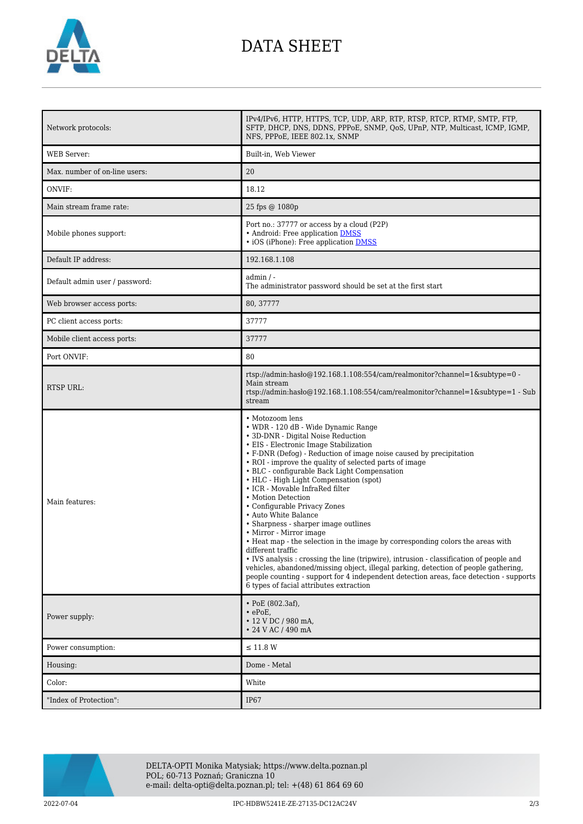

## DATA SHEET

| Network protocols:             | IPv4/IPv6, HTTP, HTTPS, TCP, UDP, ARP, RTP, RTSP, RTCP, RTMP, SMTP, FTP,<br>SFTP, DHCP, DNS, DDNS, PPPoE, SNMP, QoS, UPnP, NTP, Multicast, ICMP, IGMP,<br>NFS, PPPoE, IEEE 802.1x, SNMP                                                                                                                                                                                                                                                                                                                                                                                                                                                                                                                                                                                                                                                                                                                                  |
|--------------------------------|--------------------------------------------------------------------------------------------------------------------------------------------------------------------------------------------------------------------------------------------------------------------------------------------------------------------------------------------------------------------------------------------------------------------------------------------------------------------------------------------------------------------------------------------------------------------------------------------------------------------------------------------------------------------------------------------------------------------------------------------------------------------------------------------------------------------------------------------------------------------------------------------------------------------------|
| <b>WEB</b> Server:             | Built-in, Web Viewer                                                                                                                                                                                                                                                                                                                                                                                                                                                                                                                                                                                                                                                                                                                                                                                                                                                                                                     |
| Max. number of on-line users:  | 20                                                                                                                                                                                                                                                                                                                                                                                                                                                                                                                                                                                                                                                                                                                                                                                                                                                                                                                       |
| ONVIF:                         | 18.12                                                                                                                                                                                                                                                                                                                                                                                                                                                                                                                                                                                                                                                                                                                                                                                                                                                                                                                    |
| Main stream frame rate:        | 25 fps @ 1080p                                                                                                                                                                                                                                                                                                                                                                                                                                                                                                                                                                                                                                                                                                                                                                                                                                                                                                           |
| Mobile phones support:         | Port no.: 37777 or access by a cloud (P2P)<br>• Android: Free application DMSS<br>• iOS (iPhone): Free application DMSS                                                                                                                                                                                                                                                                                                                                                                                                                                                                                                                                                                                                                                                                                                                                                                                                  |
| Default IP address:            | 192.168.1.108                                                                                                                                                                                                                                                                                                                                                                                                                                                                                                                                                                                                                                                                                                                                                                                                                                                                                                            |
| Default admin user / password: | $admin / -$<br>The administrator password should be set at the first start                                                                                                                                                                                                                                                                                                                                                                                                                                                                                                                                                                                                                                                                                                                                                                                                                                               |
| Web browser access ports:      | 80, 37777                                                                                                                                                                                                                                                                                                                                                                                                                                                                                                                                                                                                                                                                                                                                                                                                                                                                                                                |
| PC client access ports:        | 37777                                                                                                                                                                                                                                                                                                                                                                                                                                                                                                                                                                                                                                                                                                                                                                                                                                                                                                                    |
| Mobile client access ports:    | 37777                                                                                                                                                                                                                                                                                                                                                                                                                                                                                                                                                                                                                                                                                                                                                                                                                                                                                                                    |
| Port ONVIF:                    | 80                                                                                                                                                                                                                                                                                                                                                                                                                                                                                                                                                                                                                                                                                                                                                                                                                                                                                                                       |
| RTSP URL:                      | rtsp://admin.hasb $@192.168.1.108.554/cam/realmonitor?channel=1$ &subtype=0 -<br>Main stream<br>rtsp://admin.hasho $@192.168.1.108.554$ /cam/realmonitor?channel=1&subtype=1 - Sub<br>stream                                                                                                                                                                                                                                                                                                                                                                                                                                                                                                                                                                                                                                                                                                                             |
|                                | • Motozoom lens<br>• WDR - 120 dB - Wide Dynamic Range                                                                                                                                                                                                                                                                                                                                                                                                                                                                                                                                                                                                                                                                                                                                                                                                                                                                   |
| Main features:                 | • 3D-DNR - Digital Noise Reduction<br>• EIS - Electronic Image Stabilization<br>• F-DNR (Defog) - Reduction of image noise caused by precipitation<br>• ROI - improve the quality of selected parts of image<br>• BLC - configurable Back Light Compensation<br>• HLC - High Light Compensation (spot)<br>• ICR - Movable InfraRed filter<br>• Motion Detection<br>• Configurable Privacy Zones<br>• Auto White Balance<br>• Sharpness - sharper image outlines<br>• Mirror - Mirror image<br>• Heat map - the selection in the image by corresponding colors the areas with<br>different traffic<br>• IVS analysis : crossing the line (tripwire), intrusion - classification of people and<br>vehicles, abandoned/missing object, illegal parking, detection of people gathering,<br>people counting - support for 4 independent detection areas, face detection - supports<br>6 types of facial attributes extraction |
| Power supply:                  | • PoE $(802.3af)$ ,<br>$\cdot$ ePoE,<br>$\cdot$ 12 V DC / 980 mA,<br>• 24 V AC / 490 mA                                                                                                                                                                                                                                                                                                                                                                                                                                                                                                                                                                                                                                                                                                                                                                                                                                  |
| Power consumption:             | $\leq$ 11.8 W                                                                                                                                                                                                                                                                                                                                                                                                                                                                                                                                                                                                                                                                                                                                                                                                                                                                                                            |
| Housing:                       | Dome - Metal                                                                                                                                                                                                                                                                                                                                                                                                                                                                                                                                                                                                                                                                                                                                                                                                                                                                                                             |
| Color:                         | White                                                                                                                                                                                                                                                                                                                                                                                                                                                                                                                                                                                                                                                                                                                                                                                                                                                                                                                    |



DELTA-OPTI Monika Matysiak; https://www.delta.poznan.pl POL; 60-713 Poznań; Graniczna 10 e-mail: delta-opti@delta.poznan.pl; tel: +(48) 61 864 69 60